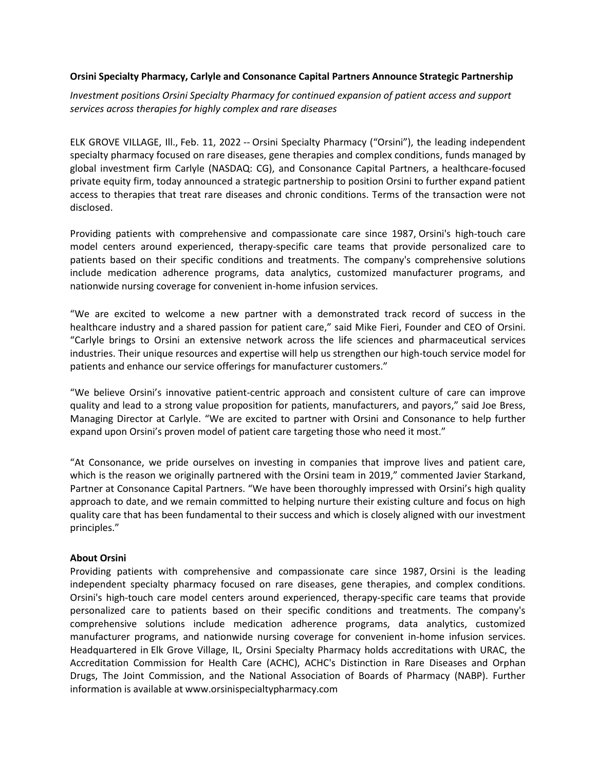#### **Orsini Specialty Pharmacy, Carlyle and Consonance Capital Partners Announce Strategic Partnership**

*Investment positions Orsini Specialty Pharmacy for continued expansion of patient access and support services across therapies for highly complex and rare diseases* 

ELK GROVE VILLAGE, Ill., Feb. 11, 2022 -- Orsini Specialty Pharmacy ("Orsini"), the leading independent specialty pharmacy focused on rare diseases, gene therapies and complex conditions, funds managed by global investment firm Carlyle (NASDAQ: CG), and Consonance Capital Partners, a healthcare-focused private equity firm, today announced a strategic partnership to position Orsini to further expand patient access to therapies that treat rare diseases and chronic conditions. Terms of the transaction were not disclosed.

Providing patients with comprehensive and compassionate care since 1987, Orsini's high-touch care model centers around experienced, therapy-specific care teams that provide personalized care to patients based on their specific conditions and treatments. The company's comprehensive solutions include medication adherence programs, data analytics, customized manufacturer programs, and nationwide nursing coverage for convenient in-home infusion services.

"We are excited to welcome a new partner with a demonstrated track record of success in the healthcare industry and a shared passion for patient care," said Mike Fieri, Founder and CEO of Orsini. "Carlyle brings to Orsini an extensive network across the life sciences and pharmaceutical services industries. Their unique resources and expertise will help us strengthen our high-touch service model for patients and enhance our service offerings for manufacturer customers."

"We believe Orsini's innovative patient-centric approach and consistent culture of care can improve quality and lead to a strong value proposition for patients, manufacturers, and payors," said Joe Bress, Managing Director at Carlyle. "We are excited to partner with Orsini and Consonance to help further expand upon Orsini's proven model of patient care targeting those who need it most."

"At Consonance, we pride ourselves on investing in companies that improve lives and patient care, which is the reason we originally partnered with the Orsini team in 2019," commented Javier Starkand, Partner at Consonance Capital Partners. "We have been thoroughly impressed with Orsini's high quality approach to date, and we remain committed to helping nurture their existing culture and focus on high quality care that has been fundamental to their success and which is closely aligned with our investment principles."

#### **About Orsini**

Providing patients with comprehensive and compassionate care since 1987, Orsini is the leading independent specialty pharmacy focused on rare diseases, gene therapies, and complex conditions. Orsini's high-touch care model centers around experienced, therapy-specific care teams that provide personalized care to patients based on their specific conditions and treatments. The company's comprehensive solutions include medication adherence programs, data analytics, customized manufacturer programs, and nationwide nursing coverage for convenient in-home infusion services. Headquartered in Elk Grove Village, IL, Orsini Specialty Pharmacy holds accreditations with URAC, the Accreditation Commission for Health Care (ACHC), ACHC's Distinction in Rare Diseases and Orphan Drugs, The Joint Commission, and the National Association of Boards of Pharmacy (NABP). Further information is available at www.orsinispecialtypharmacy.com